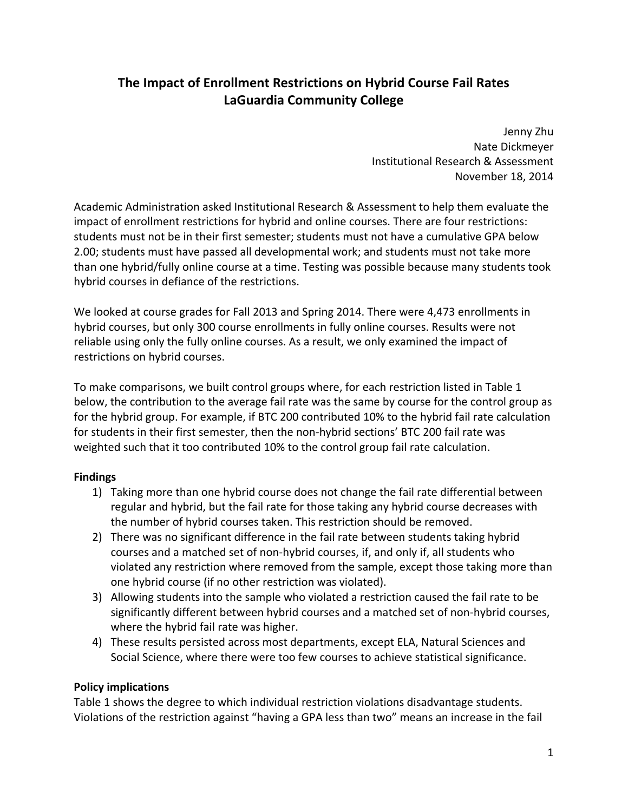# **The Impact of Enrollment Restrictions on Hybrid Course Fail Rates LaGuardia Community College**

 Jenny Zhu Nate Dickmeyer Institutional Research & Assessment November 18, 2014

 Academic Administration asked Institutional Research & Assessment to help them evaluate the impact of enrollment restrictions for hybrid and online courses. There are four restrictions: students must not be in their first semester; students must not have a cumulative GPA below 2.00; students must have passed all developmental work; and students must not take more than one hybrid/fully online course at a time. Testing was possible because many students took hybrid courses in defiance of the restrictions.

 We looked at course grades for Fall 2013 and Spring 2014. There were 4,473 enrollments in hybrid courses, but only 300 course enrollments in fully online courses. Results were not reliable using only the fully online courses. As a result, we only examined the impact of restrictions on hybrid courses.

 To make comparisons, we built control groups where, for each restriction listed in Table 1 below, the contribution to the average fail rate was the same by course for the control group as for the hybrid group. For example, if BTC 200 contributed 10% to the hybrid fail rate calculation for students in their first semester, then the non‐hybrid sections' BTC 200 fail rate was weighted such that it too contributed 10% to the control group fail rate calculation.

### **Findings**

- 1) Taking more than one hybrid course does not change the fail rate differential between regular and hybrid, but the fail rate for those taking any hybrid course decreases with the number of hybrid courses taken. This restriction should be removed.
- 2) There was no significant difference in the fail rate between students taking hybrid courses and a matched set of non‐hybrid courses, if, and only if, all students who violated any restriction where removed from the sample, except those taking more than one hybrid course (if no other restriction was violated).
- 3) Allowing students into the sample who violated a restriction caused the fail rate to be significantly different between hybrid courses and a matched set of non‐hybrid courses, where the hybrid fail rate was higher.
- 4) These results persisted across most departments, except ELA, Natural Sciences and Social Science, where there were too few courses to achieve statistical significance.

## **Policy implications**

 Table 1 shows the degree to which individual restriction violations disadvantage students. Violations of the restriction against "having a GPA less than two" means an increase in the fail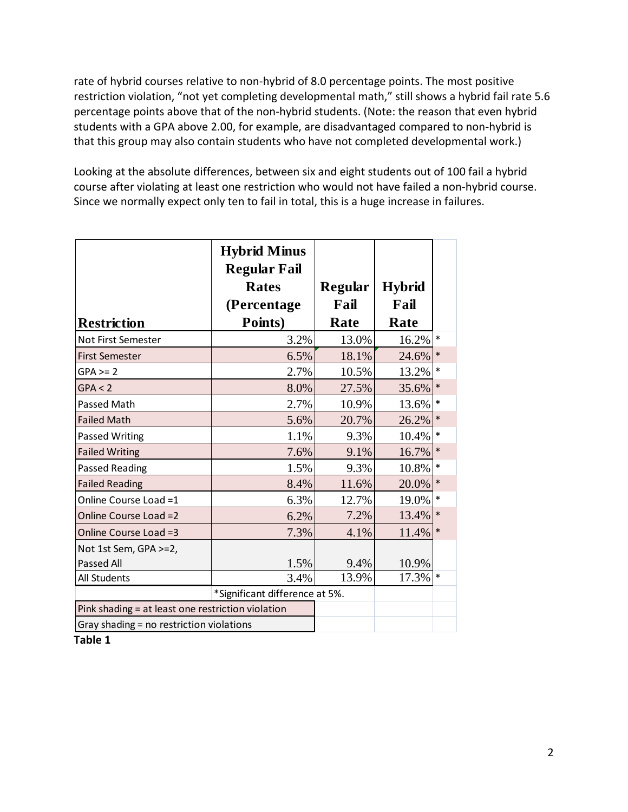rate of hybrid courses relative to non‐hybrid of 8.0 percentage points. The most positive restriction violation, "not yet completing developmental math," still shows a hybrid fail rate 5.6 percentage points above that of the non‐hybrid students. (Note: the reason that even hybrid students with a GPA above 2.00, for example, are disadvantaged compared to non‐hybrid is that this group may also contain students who have not completed developmental work.)

 Looking at the absolute differences, between six and eight students out of 100 fail a hybrid course after violating at least one restriction who would not have failed a non‐hybrid course. Since we normally expect only ten to fail in total, this is a huge increase in failures.

|                                                   | <b>Hybrid Minus</b><br><b>Regular Fail</b> |                        |                       |        |
|---------------------------------------------------|--------------------------------------------|------------------------|-----------------------|--------|
|                                                   | <b>Rates</b><br>(Percentage                | <b>Regular</b><br>Fail | <b>Hybrid</b><br>Fail |        |
| <b>Restriction</b>                                | Points)                                    | Rate                   | Rate                  |        |
| Not First Semester                                | 3.2%                                       | 13.0%                  | 16.2%                 | $\ast$ |
| <b>First Semester</b>                             | 6.5%                                       | 18.1%                  | 24.6%                 | $\ast$ |
| $GPA \geq 2$                                      | 2.7%                                       | 10.5%                  | 13.2%                 | *      |
| GPA < 2                                           | 8.0%                                       | 27.5%                  | 35.6%                 | $\ast$ |
| Passed Math                                       | 2.7%                                       | 10.9%                  | 13.6%                 | *      |
| <b>Failed Math</b>                                | 5.6%                                       | 20.7%                  | 26.2%                 | $\ast$ |
| Passed Writing                                    | 1.1%                                       | 9.3%                   | 10.4%                 | $\ast$ |
| <b>Failed Writing</b>                             | 7.6%                                       | 9.1%                   | 16.7%                 | $\ast$ |
| Passed Reading                                    | 1.5%                                       | 9.3%                   | 10.8%                 | *      |
| <b>Failed Reading</b>                             | 8.4%                                       | 11.6%                  | 20.0%                 | $\ast$ |
| Online Course Load =1                             | 6.3%                                       | 12.7%                  | 19.0%                 | *      |
| Online Course Load =2                             | 6.2%                                       | 7.2%                   | 13.4%                 | $\ast$ |
| Online Course Load =3                             | 7.3%                                       | 4.1%                   | 11.4%                 | $\ast$ |
| Not 1st Sem, GPA >=2,                             |                                            |                        |                       |        |
| <b>Passed All</b>                                 | 1.5%                                       | 9.4%                   | 10.9%                 |        |
| All Students                                      | 3.4%                                       | 13.9%                  | 17.3%                 | $\ast$ |
|                                                   | *Significant difference at 5%.             |                        |                       |        |
| Pink shading = at least one restriction violation |                                            |                        |                       |        |
| Gray shading = no restriction violations          |                                            |                        |                       |        |

 **Table 1**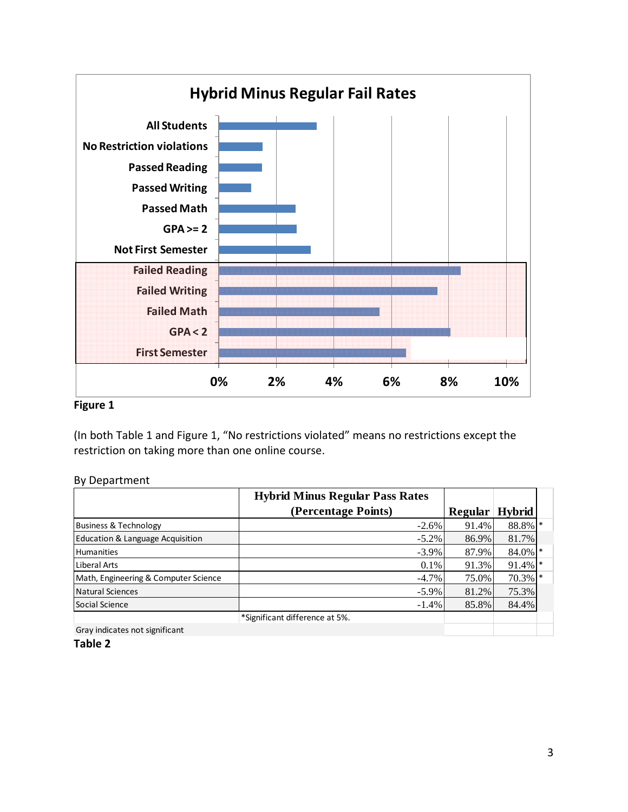

#### **Figure 1**

 (In both Table 1 and Figure 1, "No restrictions violated" means no restrictions except the restriction on taking more than one online course.

#### By Department

|                                      | <b>Hybrid Minus Regular Pass Rates</b> |                |               |  |
|--------------------------------------|----------------------------------------|----------------|---------------|--|
|                                      | (Percentage Points)                    | <b>Regular</b> | <b>Hybrid</b> |  |
| <b>Business &amp; Technology</b>     | $-2.6\%$                               | 91.4%          | 88.8% *       |  |
| Education & Language Acquisition     | $-5.2\%$                               | 86.9%          | 81.7%         |  |
| <b>Humanities</b>                    | $-3.9\%$                               | 87.9%          | 84.0% *       |  |
| Liberal Arts                         | $0.1\%$                                | 91.3%          | $91.4\%$ *    |  |
| Math, Engineering & Computer Science | $-4.7\%$                               | 75.0%          | $70.3\%$ *    |  |
| Natural Sciences                     | $-5.9\%$                               | 81.2%          | 75.3%         |  |
| Social Science                       | $-1.4%$                                | 85.8%          | 84.4%         |  |
|                                      | *Significant difference at 5%.         |                |               |  |

Gray indicates not significant

#### **Table 2**